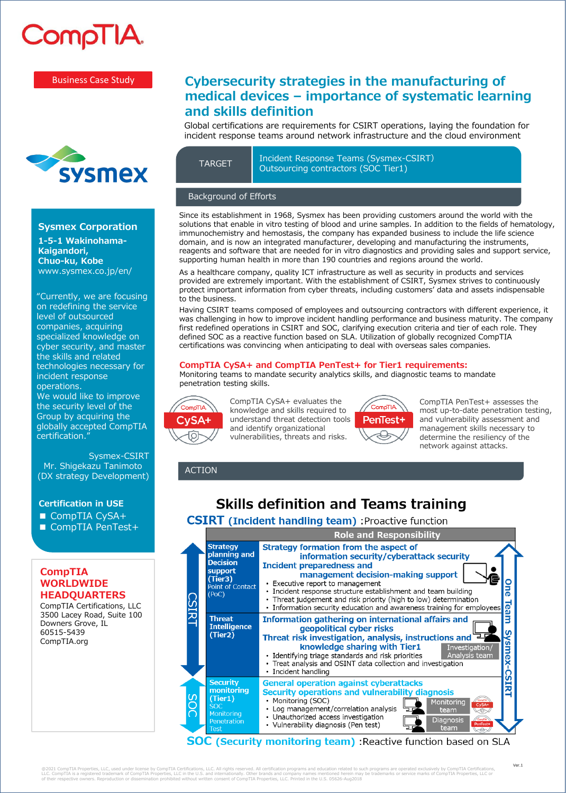

#### Business Case Study



### **Sysmex Corporation**

**1-5-1 Wakinohama-Kaigandori, Chuo-ku, Kobe**  www.sysmex.co.jp/en/

"Currently, we are focusing on redefining the service level of outsourced companies, acquiring specialized knowledge on cyber security, and master the skills and related technologies necessary for incident response operations. We would like to improve the security level of the Group by acquiring the globally accepted CompTIA certification."

Sysmex-CSIRT Mr. Shigekazu Tanimoto (DX strategy Development)

### **Certification in USE**

- CompTIA CySA+
- CompTIA PenTest+

## **CompTIA WORLDWIDE HEADQUARTERS**

CompTIA Certifications, LLC 3500 Lacey Road, Suite 100 Downers Grove, IL 60515-5439 CompTIA.org

# **Cybersecurity strategies in the manufacturing of medical devices – importance of systematic learning and skills definition**

Global certifications are requirements for CSIRT operations, laying the foundation for incident response teams around network infrastructure and the cloud environment

Incident Response Teams (Sysmex-CSIRT) TARGET DIFFICULTURE CONTRACTED TRANSPORTED DUTIES

## Background of Efforts

Since its establishment in 1968, Sysmex has been providing customers around the world with the solutions that enable in vitro testing of blood and urine samples. In addition to the fields of hematology, immunochemistry and hemostasis, the company has expanded business to include the life science domain, and is now an integrated manufacturer, developing and manufacturing the instruments, reagents and software that are needed for in vitro diagnostics and providing sales and support service, supporting human health in more than 190 countries and regions around the world.

As a healthcare company, quality ICT infrastructure as well as security in products and services provided are extremely important. With the establishment of CSIRT, Sysmex strives to continuously protect important information from cyber threats, including customers' data and assets indispensable to the business.

Having CSIRT teams composed of employees and outsourcing contractors with different experience, it was challenging in how to improve incident handling performance and business maturity. The company first redefined operations in CSIRT and SOC, clarifying execution criteria and tier of each role. They defined SOC as a reactive function based on SLA. Utilization of globally recognized CompTIA certifications was convincing when anticipating to deal with overseas sales companies.

### **CompTIA CySA+ and CompTIA PenTest+ for Tier1 requirements:**

Monitoring teams to mandate security analytics skills, and diagnostic teams to mandate penetration testing skills.



CompTIA CySA+ evaluates the knowledge and skills required to understand threat detection tools and identify organizational vulnerabilities, threats and risks.



CompTIA PenTest+ assesses the most up-to-date penetration testing, and vulnerability assessment and management skills necessary to determine the resiliency of the network against attacks.

ACTION

# **Skills definition and Teams training**

# **CSIRT** (Incident handling team) : Proactive function



@2021 CompTIA Properties, LLC, used under license by CompTIA Certifications, LLC. All rights reserved. All certification programs and education related to such programs are operated exclusively by CompTIA Certifications,<br>L